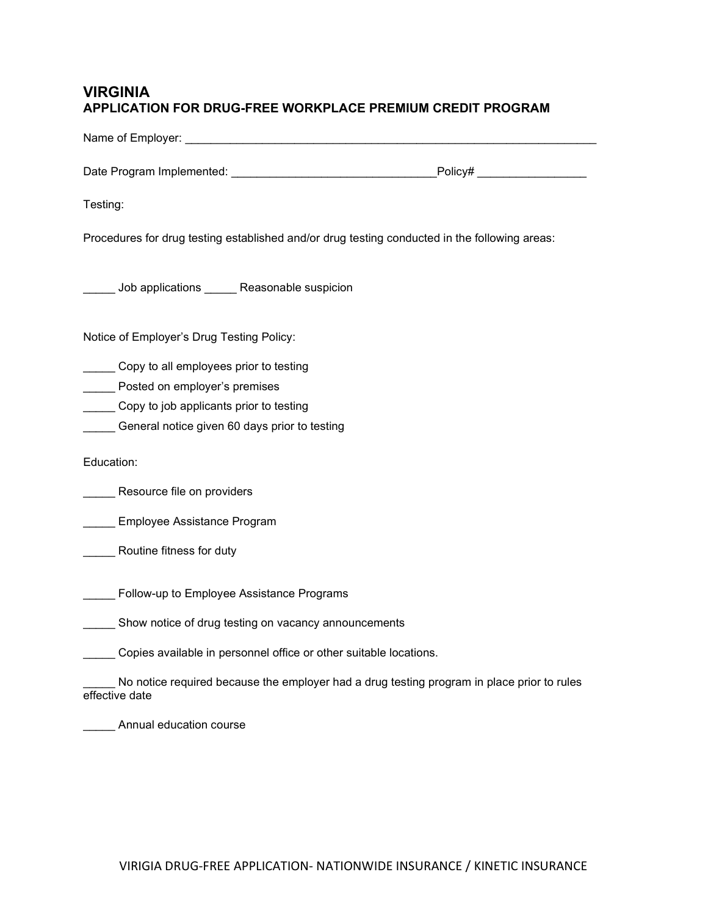## VIRGINIA APPLICATION FOR DRUG-FREE WORKPLACE PREMIUM CREDIT PROGRAM

| Testing:                                                                                                                                                            |                                                                                            |
|---------------------------------------------------------------------------------------------------------------------------------------------------------------------|--------------------------------------------------------------------------------------------|
| Procedures for drug testing established and/or drug testing conducted in the following areas:                                                                       |                                                                                            |
| Lessing Job applications Lessing Reasonable suspicion                                                                                                               |                                                                                            |
| Notice of Employer's Drug Testing Policy:                                                                                                                           |                                                                                            |
| Copy to all employees prior to testing<br>Posted on employer's premises<br>Copy to job applicants prior to testing<br>General notice given 60 days prior to testing |                                                                                            |
| Education:                                                                                                                                                          |                                                                                            |
| ___ Resource file on providers                                                                                                                                      |                                                                                            |
| Employee Assistance Program                                                                                                                                         |                                                                                            |
| Routine fitness for duty                                                                                                                                            |                                                                                            |
| Follow-up to Employee Assistance Programs                                                                                                                           |                                                                                            |
| Show notice of drug testing on vacancy announcements                                                                                                                |                                                                                            |
| Copies available in personnel office or other suitable locations.                                                                                                   |                                                                                            |
| effective date                                                                                                                                                      | No notice required because the employer had a drug testing program in place prior to rules |
| Annual education course                                                                                                                                             |                                                                                            |